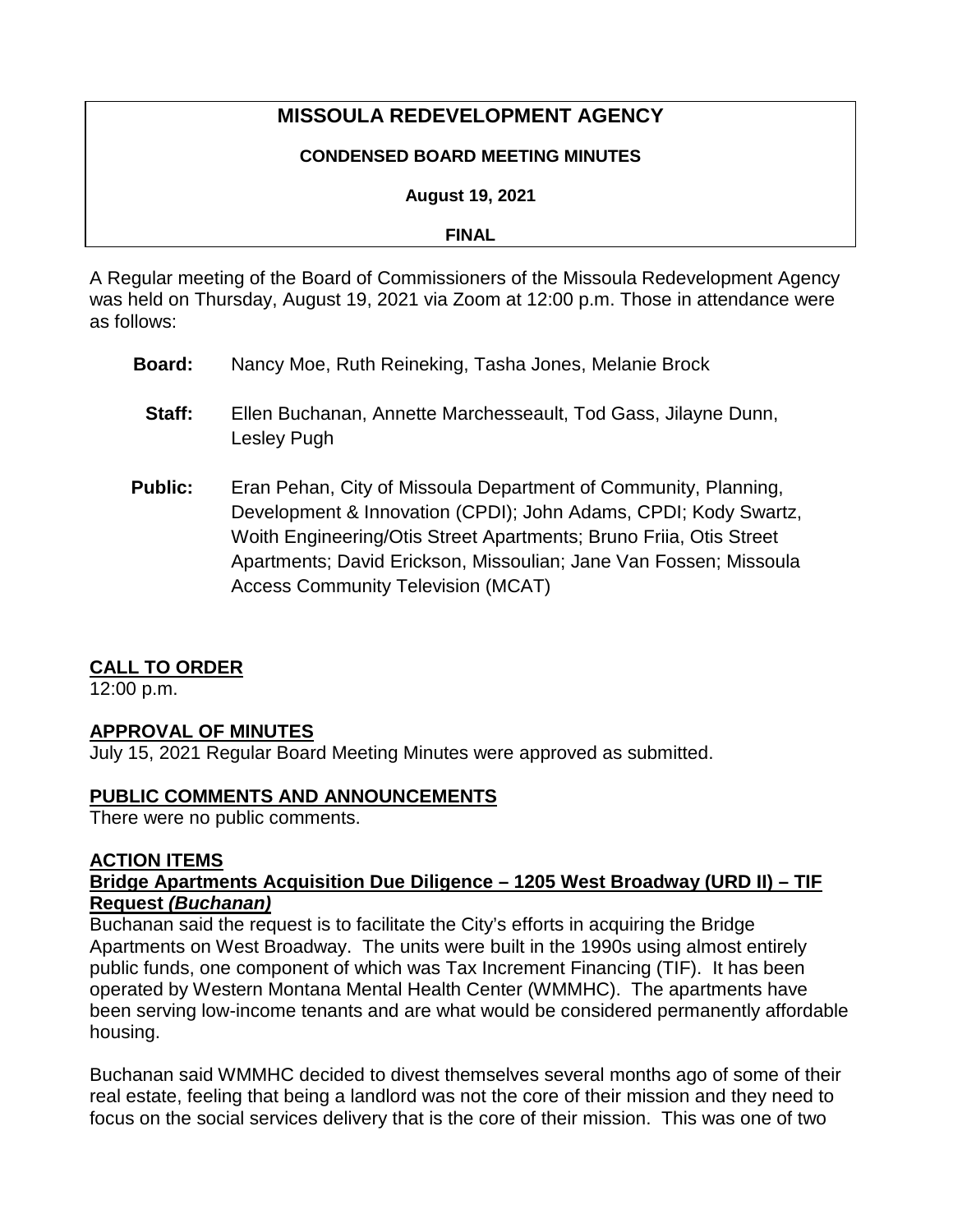# **MISSOULA REDEVELOPMENT AGENCY**

#### **CONDENSED BOARD MEETING MINUTES**

#### **August 19, 2021**

#### **FINAL**

A Regular meeting of the Board of Commissioners of the Missoula Redevelopment Agency was held on Thursday, August 19, 2021 via Zoom at 12:00 p.m. Those in attendance were as follows:

- **Board:** Nancy Moe, Ruth Reineking, Tasha Jones, Melanie Brock
	- **Staff:** Ellen Buchanan, Annette Marchesseault, Tod Gass, Jilayne Dunn, Lesley Pugh
- **Public:** Eran Pehan, City of Missoula Department of Community, Planning, Development & Innovation (CPDI); John Adams, CPDI; Kody Swartz, Woith Engineering/Otis Street Apartments; Bruno Friia, Otis Street Apartments; David Erickson, Missoulian; Jane Van Fossen; Missoula Access Community Television (MCAT)

## **CALL TO ORDER**

12:00 p.m.

#### **APPROVAL OF MINUTES**

July 15, 2021 Regular Board Meeting Minutes were approved as submitted.

#### **PUBLIC COMMENTS AND ANNOUNCEMENTS**

There were no public comments.

#### **ACTION ITEMS**

#### **Bridge Apartments Acquisition Due Diligence – 1205 West Broadway (URD II) – TIF Request** *(Buchanan)*

Buchanan said the request is to facilitate the City's efforts in acquiring the Bridge Apartments on West Broadway. The units were built in the 1990s using almost entirely public funds, one component of which was Tax Increment Financing (TIF). It has been operated by Western Montana Mental Health Center (WMMHC). The apartments have been serving low-income tenants and are what would be considered permanently affordable housing.

Buchanan said WMMHC decided to divest themselves several months ago of some of their real estate, feeling that being a landlord was not the core of their mission and they need to focus on the social services delivery that is the core of their mission. This was one of two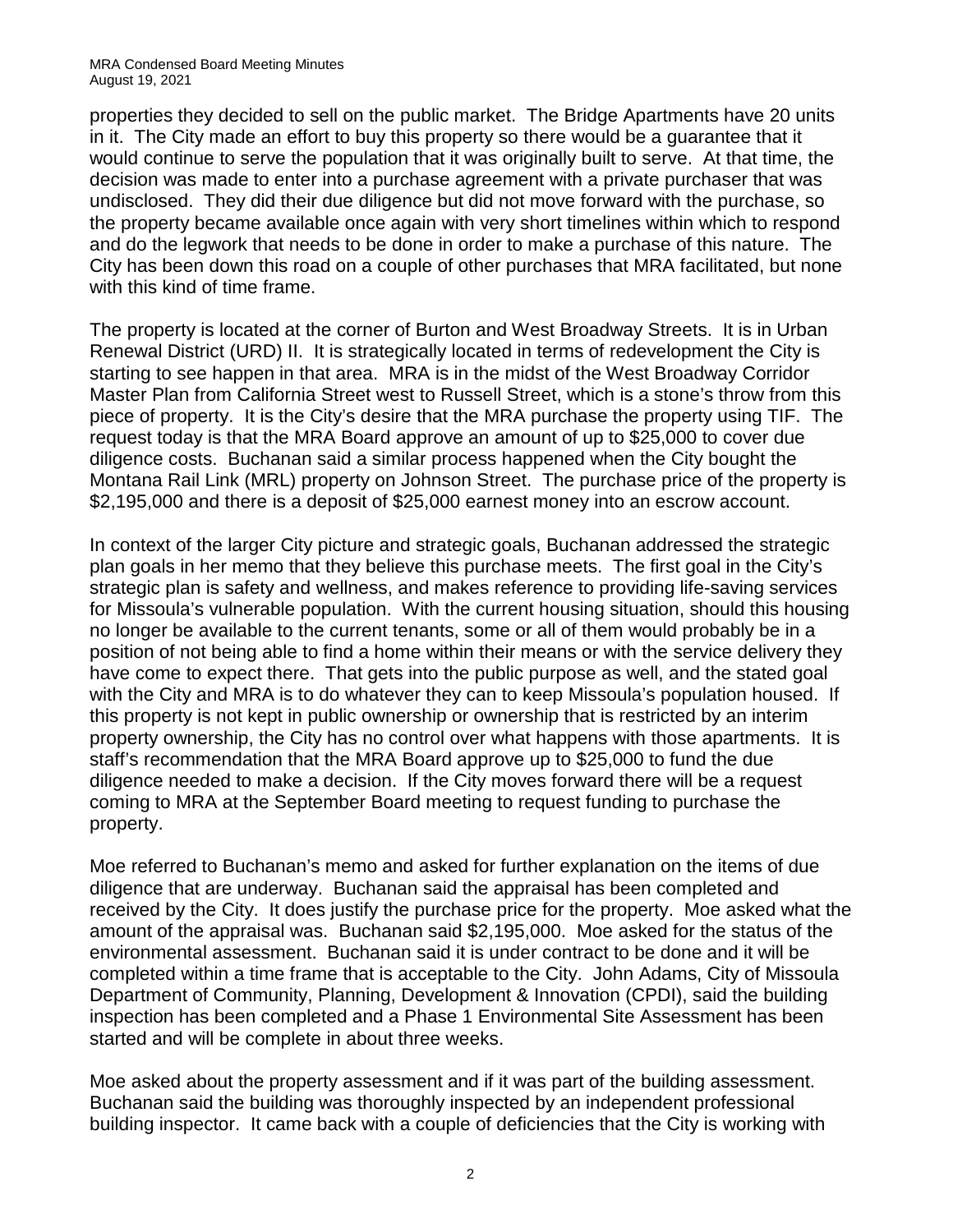properties they decided to sell on the public market. The Bridge Apartments have 20 units in it. The City made an effort to buy this property so there would be a guarantee that it would continue to serve the population that it was originally built to serve. At that time, the decision was made to enter into a purchase agreement with a private purchaser that was undisclosed. They did their due diligence but did not move forward with the purchase, so the property became available once again with very short timelines within which to respond and do the legwork that needs to be done in order to make a purchase of this nature. The City has been down this road on a couple of other purchases that MRA facilitated, but none with this kind of time frame.

The property is located at the corner of Burton and West Broadway Streets. It is in Urban Renewal District (URD) II. It is strategically located in terms of redevelopment the City is starting to see happen in that area. MRA is in the midst of the West Broadway Corridor Master Plan from California Street west to Russell Street, which is a stone's throw from this piece of property. It is the City's desire that the MRA purchase the property using TIF. The request today is that the MRA Board approve an amount of up to \$25,000 to cover due diligence costs. Buchanan said a similar process happened when the City bought the Montana Rail Link (MRL) property on Johnson Street. The purchase price of the property is \$2,195,000 and there is a deposit of \$25,000 earnest money into an escrow account.

In context of the larger City picture and strategic goals, Buchanan addressed the strategic plan goals in her memo that they believe this purchase meets. The first goal in the City's strategic plan is safety and wellness, and makes reference to providing life-saving services for Missoula's vulnerable population. With the current housing situation, should this housing no longer be available to the current tenants, some or all of them would probably be in a position of not being able to find a home within their means or with the service delivery they have come to expect there. That gets into the public purpose as well, and the stated goal with the City and MRA is to do whatever they can to keep Missoula's population housed. If this property is not kept in public ownership or ownership that is restricted by an interim property ownership, the City has no control over what happens with those apartments. It is staff's recommendation that the MRA Board approve up to \$25,000 to fund the due diligence needed to make a decision. If the City moves forward there will be a request coming to MRA at the September Board meeting to request funding to purchase the property.

Moe referred to Buchanan's memo and asked for further explanation on the items of due diligence that are underway. Buchanan said the appraisal has been completed and received by the City. It does justify the purchase price for the property. Moe asked what the amount of the appraisal was. Buchanan said \$2,195,000. Moe asked for the status of the environmental assessment. Buchanan said it is under contract to be done and it will be completed within a time frame that is acceptable to the City. John Adams, City of Missoula Department of Community, Planning, Development & Innovation (CPDI), said the building inspection has been completed and a Phase 1 Environmental Site Assessment has been started and will be complete in about three weeks.

Moe asked about the property assessment and if it was part of the building assessment. Buchanan said the building was thoroughly inspected by an independent professional building inspector. It came back with a couple of deficiencies that the City is working with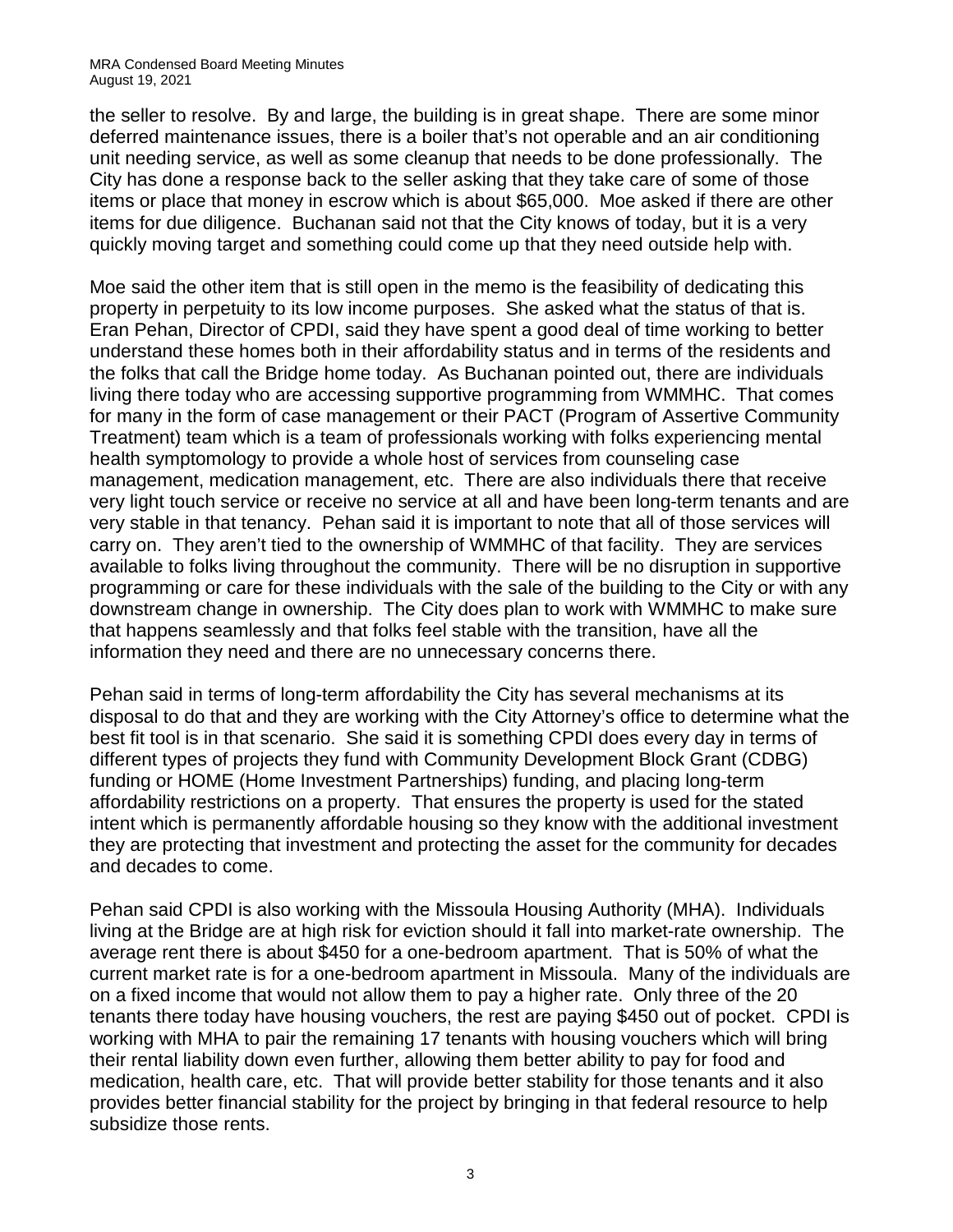#### MRA Condensed Board Meeting Minutes August 19, 2021

the seller to resolve. By and large, the building is in great shape. There are some minor deferred maintenance issues, there is a boiler that's not operable and an air conditioning unit needing service, as well as some cleanup that needs to be done professionally. The City has done a response back to the seller asking that they take care of some of those items or place that money in escrow which is about \$65,000. Moe asked if there are other items for due diligence. Buchanan said not that the City knows of today, but it is a very quickly moving target and something could come up that they need outside help with.

Moe said the other item that is still open in the memo is the feasibility of dedicating this property in perpetuity to its low income purposes. She asked what the status of that is. Eran Pehan, Director of CPDI, said they have spent a good deal of time working to better understand these homes both in their affordability status and in terms of the residents and the folks that call the Bridge home today. As Buchanan pointed out, there are individuals living there today who are accessing supportive programming from WMMHC. That comes for many in the form of case management or their PACT (Program of Assertive Community Treatment) team which is a team of professionals working with folks experiencing mental health symptomology to provide a whole host of services from counseling case management, medication management, etc. There are also individuals there that receive very light touch service or receive no service at all and have been long-term tenants and are very stable in that tenancy. Pehan said it is important to note that all of those services will carry on. They aren't tied to the ownership of WMMHC of that facility. They are services available to folks living throughout the community. There will be no disruption in supportive programming or care for these individuals with the sale of the building to the City or with any downstream change in ownership. The City does plan to work with WMMHC to make sure that happens seamlessly and that folks feel stable with the transition, have all the information they need and there are no unnecessary concerns there.

Pehan said in terms of long-term affordability the City has several mechanisms at its disposal to do that and they are working with the City Attorney's office to determine what the best fit tool is in that scenario. She said it is something CPDI does every day in terms of different types of projects they fund with Community Development Block Grant (CDBG) funding or HOME (Home Investment Partnerships) funding, and placing long-term affordability restrictions on a property. That ensures the property is used for the stated intent which is permanently affordable housing so they know with the additional investment they are protecting that investment and protecting the asset for the community for decades and decades to come.

Pehan said CPDI is also working with the Missoula Housing Authority (MHA). Individuals living at the Bridge are at high risk for eviction should it fall into market-rate ownership. The average rent there is about \$450 for a one-bedroom apartment. That is 50% of what the current market rate is for a one-bedroom apartment in Missoula. Many of the individuals are on a fixed income that would not allow them to pay a higher rate. Only three of the 20 tenants there today have housing vouchers, the rest are paying \$450 out of pocket. CPDI is working with MHA to pair the remaining 17 tenants with housing vouchers which will bring their rental liability down even further, allowing them better ability to pay for food and medication, health care, etc. That will provide better stability for those tenants and it also provides better financial stability for the project by bringing in that federal resource to help subsidize those rents.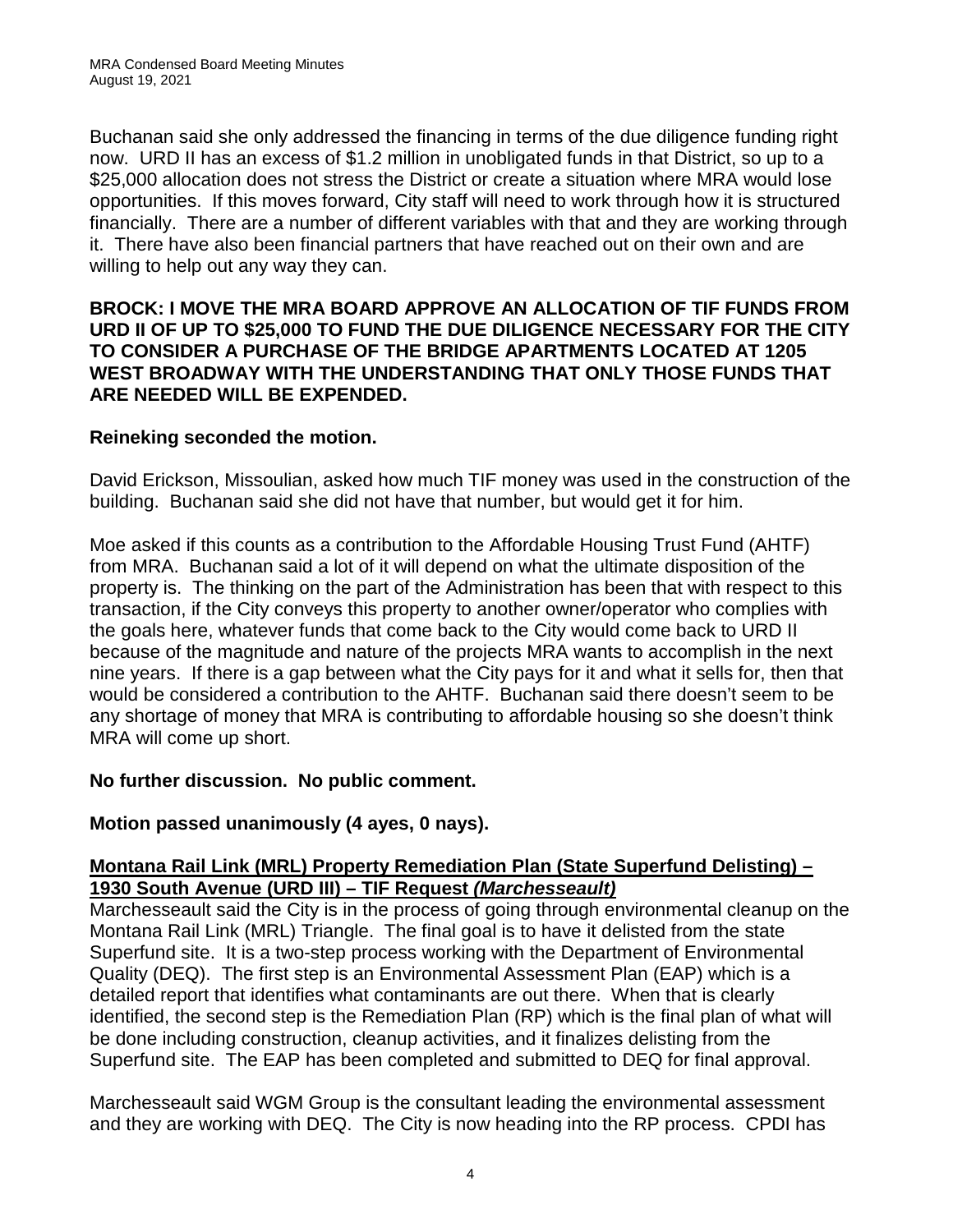Buchanan said she only addressed the financing in terms of the due diligence funding right now. URD II has an excess of \$1.2 million in unobligated funds in that District, so up to a \$25,000 allocation does not stress the District or create a situation where MRA would lose opportunities. If this moves forward, City staff will need to work through how it is structured financially. There are a number of different variables with that and they are working through it. There have also been financial partners that have reached out on their own and are willing to help out any way they can.

#### **BROCK: I MOVE THE MRA BOARD APPROVE AN ALLOCATION OF TIF FUNDS FROM URD II OF UP TO \$25,000 TO FUND THE DUE DILIGENCE NECESSARY FOR THE CITY TO CONSIDER A PURCHASE OF THE BRIDGE APARTMENTS LOCATED AT 1205 WEST BROADWAY WITH THE UNDERSTANDING THAT ONLY THOSE FUNDS THAT ARE NEEDED WILL BE EXPENDED.**

#### **Reineking seconded the motion.**

David Erickson, Missoulian, asked how much TIF money was used in the construction of the building. Buchanan said she did not have that number, but would get it for him.

Moe asked if this counts as a contribution to the Affordable Housing Trust Fund (AHTF) from MRA. Buchanan said a lot of it will depend on what the ultimate disposition of the property is. The thinking on the part of the Administration has been that with respect to this transaction, if the City conveys this property to another owner/operator who complies with the goals here, whatever funds that come back to the City would come back to URD II because of the magnitude and nature of the projects MRA wants to accomplish in the next nine years. If there is a gap between what the City pays for it and what it sells for, then that would be considered a contribution to the AHTF. Buchanan said there doesn't seem to be any shortage of money that MRA is contributing to affordable housing so she doesn't think MRA will come up short.

#### **No further discussion. No public comment.**

## **Motion passed unanimously (4 ayes, 0 nays).**

## **Montana Rail Link (MRL) Property Remediation Plan (State Superfund Delisting) – 1930 South Avenue (URD III) – TIF Request** *(Marchesseault)*

Marchesseault said the City is in the process of going through environmental cleanup on the Montana Rail Link (MRL) Triangle. The final goal is to have it delisted from the state Superfund site. It is a two-step process working with the Department of Environmental Quality (DEQ). The first step is an Environmental Assessment Plan (EAP) which is a detailed report that identifies what contaminants are out there. When that is clearly identified, the second step is the Remediation Plan (RP) which is the final plan of what will be done including construction, cleanup activities, and it finalizes delisting from the Superfund site. The EAP has been completed and submitted to DEQ for final approval.

Marchesseault said WGM Group is the consultant leading the environmental assessment and they are working with DEQ. The City is now heading into the RP process. CPDI has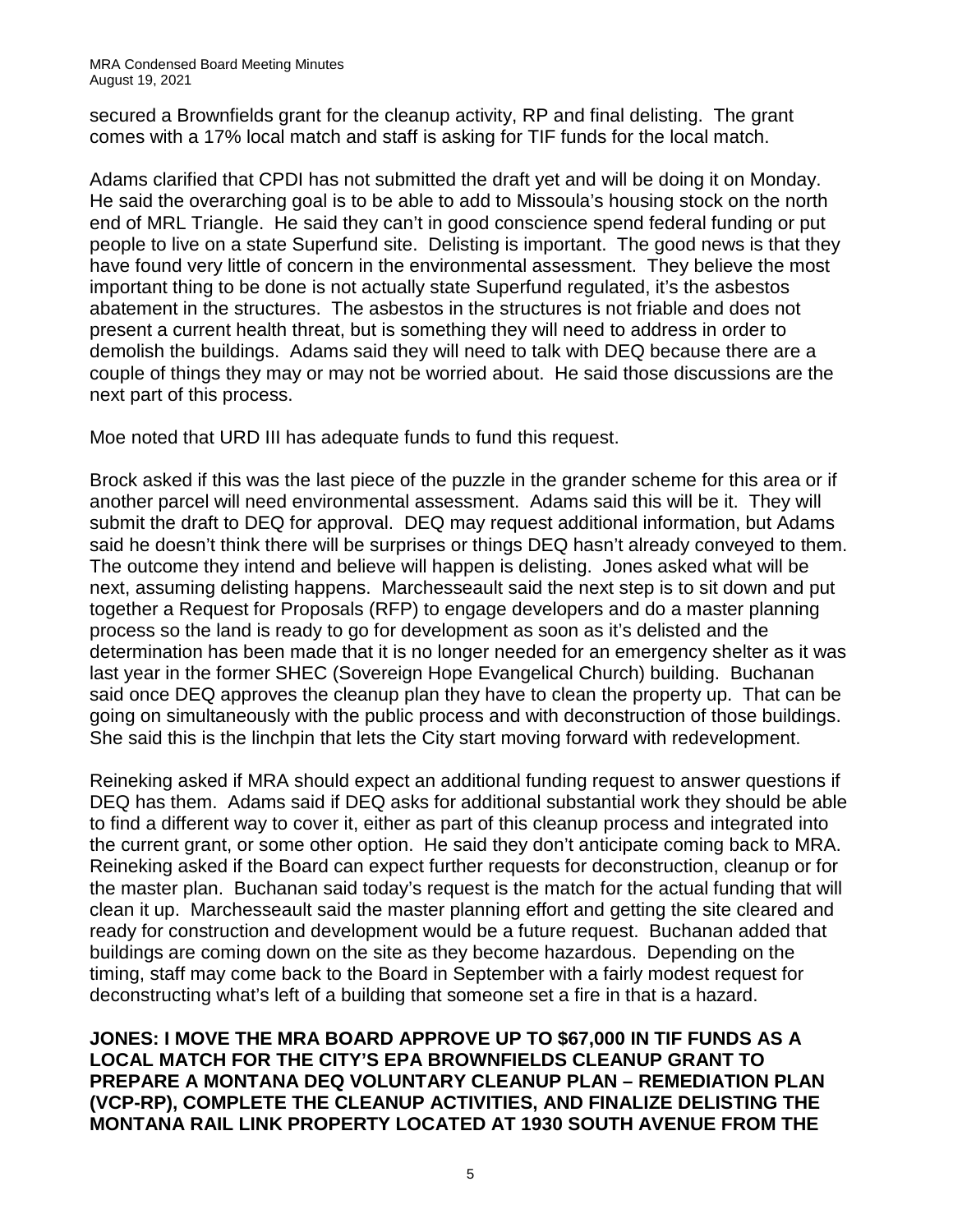secured a Brownfields grant for the cleanup activity, RP and final delisting. The grant comes with a 17% local match and staff is asking for TIF funds for the local match.

Adams clarified that CPDI has not submitted the draft yet and will be doing it on Monday. He said the overarching goal is to be able to add to Missoula's housing stock on the north end of MRL Triangle. He said they can't in good conscience spend federal funding or put people to live on a state Superfund site. Delisting is important. The good news is that they have found very little of concern in the environmental assessment. They believe the most important thing to be done is not actually state Superfund regulated, it's the asbestos abatement in the structures. The asbestos in the structures is not friable and does not present a current health threat, but is something they will need to address in order to demolish the buildings. Adams said they will need to talk with DEQ because there are a couple of things they may or may not be worried about. He said those discussions are the next part of this process.

Moe noted that URD III has adequate funds to fund this request.

Brock asked if this was the last piece of the puzzle in the grander scheme for this area or if another parcel will need environmental assessment. Adams said this will be it. They will submit the draft to DEQ for approval. DEQ may request additional information, but Adams said he doesn't think there will be surprises or things DEQ hasn't already conveyed to them. The outcome they intend and believe will happen is delisting. Jones asked what will be next, assuming delisting happens. Marchesseault said the next step is to sit down and put together a Request for Proposals (RFP) to engage developers and do a master planning process so the land is ready to go for development as soon as it's delisted and the determination has been made that it is no longer needed for an emergency shelter as it was last year in the former SHEC (Sovereign Hope Evangelical Church) building. Buchanan said once DEQ approves the cleanup plan they have to clean the property up. That can be going on simultaneously with the public process and with deconstruction of those buildings. She said this is the linchpin that lets the City start moving forward with redevelopment.

Reineking asked if MRA should expect an additional funding request to answer questions if DEQ has them. Adams said if DEQ asks for additional substantial work they should be able to find a different way to cover it, either as part of this cleanup process and integrated into the current grant, or some other option. He said they don't anticipate coming back to MRA. Reineking asked if the Board can expect further requests for deconstruction, cleanup or for the master plan. Buchanan said today's request is the match for the actual funding that will clean it up. Marchesseault said the master planning effort and getting the site cleared and ready for construction and development would be a future request. Buchanan added that buildings are coming down on the site as they become hazardous. Depending on the timing, staff may come back to the Board in September with a fairly modest request for deconstructing what's left of a building that someone set a fire in that is a hazard.

**JONES: I MOVE THE MRA BOARD APPROVE UP TO \$67,000 IN TIF FUNDS AS A LOCAL MATCH FOR THE CITY'S EPA BROWNFIELDS CLEANUP GRANT TO PREPARE A MONTANA DEQ VOLUNTARY CLEANUP PLAN – REMEDIATION PLAN (VCP-RP), COMPLETE THE CLEANUP ACTIVITIES, AND FINALIZE DELISTING THE MONTANA RAIL LINK PROPERTY LOCATED AT 1930 SOUTH AVENUE FROM THE**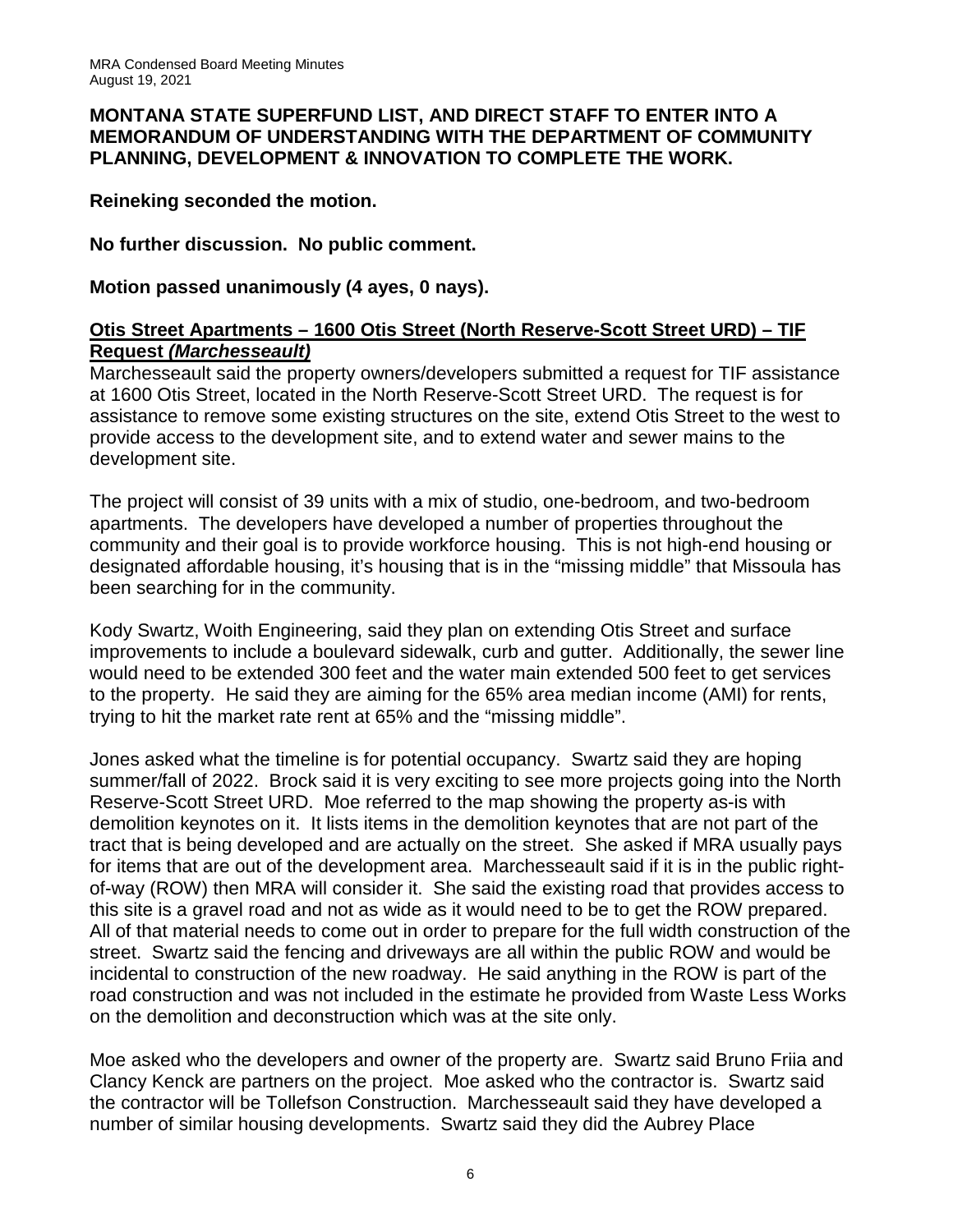#### **MONTANA STATE SUPERFUND LIST, AND DIRECT STAFF TO ENTER INTO A MEMORANDUM OF UNDERSTANDING WITH THE DEPARTMENT OF COMMUNITY PLANNING, DEVELOPMENT & INNOVATION TO COMPLETE THE WORK.**

**Reineking seconded the motion.**

**No further discussion. No public comment.**

**Motion passed unanimously (4 ayes, 0 nays).**

## **Otis Street Apartments – 1600 Otis Street (North Reserve-Scott Street URD) – TIF Request** *(Marchesseault)*

Marchesseault said the property owners/developers submitted a request for TIF assistance at 1600 Otis Street, located in the North Reserve-Scott Street URD. The request is for assistance to remove some existing structures on the site, extend Otis Street to the west to provide access to the development site, and to extend water and sewer mains to the development site.

The project will consist of 39 units with a mix of studio, one-bedroom, and two-bedroom apartments. The developers have developed a number of properties throughout the community and their goal is to provide workforce housing. This is not high-end housing or designated affordable housing, it's housing that is in the "missing middle" that Missoula has been searching for in the community.

Kody Swartz, Woith Engineering, said they plan on extending Otis Street and surface improvements to include a boulevard sidewalk, curb and gutter. Additionally, the sewer line would need to be extended 300 feet and the water main extended 500 feet to get services to the property. He said they are aiming for the 65% area median income (AMI) for rents, trying to hit the market rate rent at 65% and the "missing middle".

Jones asked what the timeline is for potential occupancy. Swartz said they are hoping summer/fall of 2022. Brock said it is very exciting to see more projects going into the North Reserve-Scott Street URD. Moe referred to the map showing the property as-is with demolition keynotes on it. It lists items in the demolition keynotes that are not part of the tract that is being developed and are actually on the street. She asked if MRA usually pays for items that are out of the development area. Marchesseault said if it is in the public rightof-way (ROW) then MRA will consider it. She said the existing road that provides access to this site is a gravel road and not as wide as it would need to be to get the ROW prepared. All of that material needs to come out in order to prepare for the full width construction of the street. Swartz said the fencing and driveways are all within the public ROW and would be incidental to construction of the new roadway. He said anything in the ROW is part of the road construction and was not included in the estimate he provided from Waste Less Works on the demolition and deconstruction which was at the site only.

Moe asked who the developers and owner of the property are. Swartz said Bruno Friia and Clancy Kenck are partners on the project. Moe asked who the contractor is. Swartz said the contractor will be Tollefson Construction. Marchesseault said they have developed a number of similar housing developments. Swartz said they did the Aubrey Place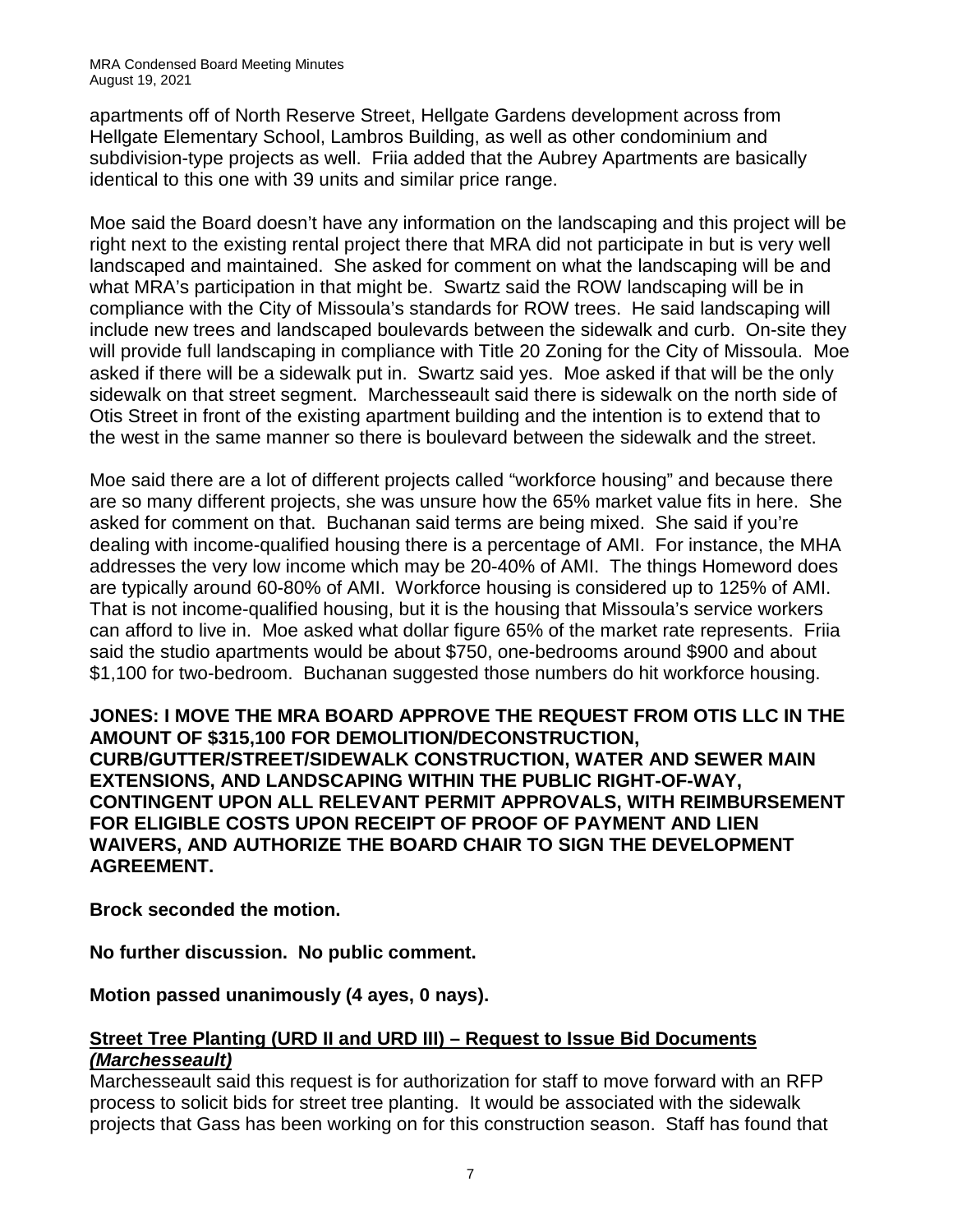apartments off of North Reserve Street, Hellgate Gardens development across from Hellgate Elementary School, Lambros Building, as well as other condominium and subdivision-type projects as well. Friia added that the Aubrey Apartments are basically identical to this one with 39 units and similar price range.

Moe said the Board doesn't have any information on the landscaping and this project will be right next to the existing rental project there that MRA did not participate in but is very well landscaped and maintained. She asked for comment on what the landscaping will be and what MRA's participation in that might be. Swartz said the ROW landscaping will be in compliance with the City of Missoula's standards for ROW trees. He said landscaping will include new trees and landscaped boulevards between the sidewalk and curb. On-site they will provide full landscaping in compliance with Title 20 Zoning for the City of Missoula. Moe asked if there will be a sidewalk put in. Swartz said yes. Moe asked if that will be the only sidewalk on that street segment. Marchesseault said there is sidewalk on the north side of Otis Street in front of the existing apartment building and the intention is to extend that to the west in the same manner so there is boulevard between the sidewalk and the street.

Moe said there are a lot of different projects called "workforce housing" and because there are so many different projects, she was unsure how the 65% market value fits in here. She asked for comment on that. Buchanan said terms are being mixed. She said if you're dealing with income-qualified housing there is a percentage of AMI. For instance, the MHA addresses the very low income which may be 20-40% of AMI. The things Homeword does are typically around 60-80% of AMI. Workforce housing is considered up to 125% of AMI. That is not income-qualified housing, but it is the housing that Missoula's service workers can afford to live in. Moe asked what dollar figure 65% of the market rate represents. Friia said the studio apartments would be about \$750, one-bedrooms around \$900 and about \$1,100 for two-bedroom. Buchanan suggested those numbers do hit workforce housing.

**JONES: I MOVE THE MRA BOARD APPROVE THE REQUEST FROM OTIS LLC IN THE AMOUNT OF \$315,100 FOR DEMOLITION/DECONSTRUCTION, CURB/GUTTER/STREET/SIDEWALK CONSTRUCTION, WATER AND SEWER MAIN EXTENSIONS, AND LANDSCAPING WITHIN THE PUBLIC RIGHT-OF-WAY, CONTINGENT UPON ALL RELEVANT PERMIT APPROVALS, WITH REIMBURSEMENT FOR ELIGIBLE COSTS UPON RECEIPT OF PROOF OF PAYMENT AND LIEN WAIVERS, AND AUTHORIZE THE BOARD CHAIR TO SIGN THE DEVELOPMENT AGREEMENT.** 

**Brock seconded the motion.**

**No further discussion. No public comment.**

**Motion passed unanimously (4 ayes, 0 nays).**

## **Street Tree Planting (URD II and URD III) – Request to Issue Bid Documents**  *(Marchesseault)*

Marchesseault said this request is for authorization for staff to move forward with an RFP process to solicit bids for street tree planting. It would be associated with the sidewalk projects that Gass has been working on for this construction season. Staff has found that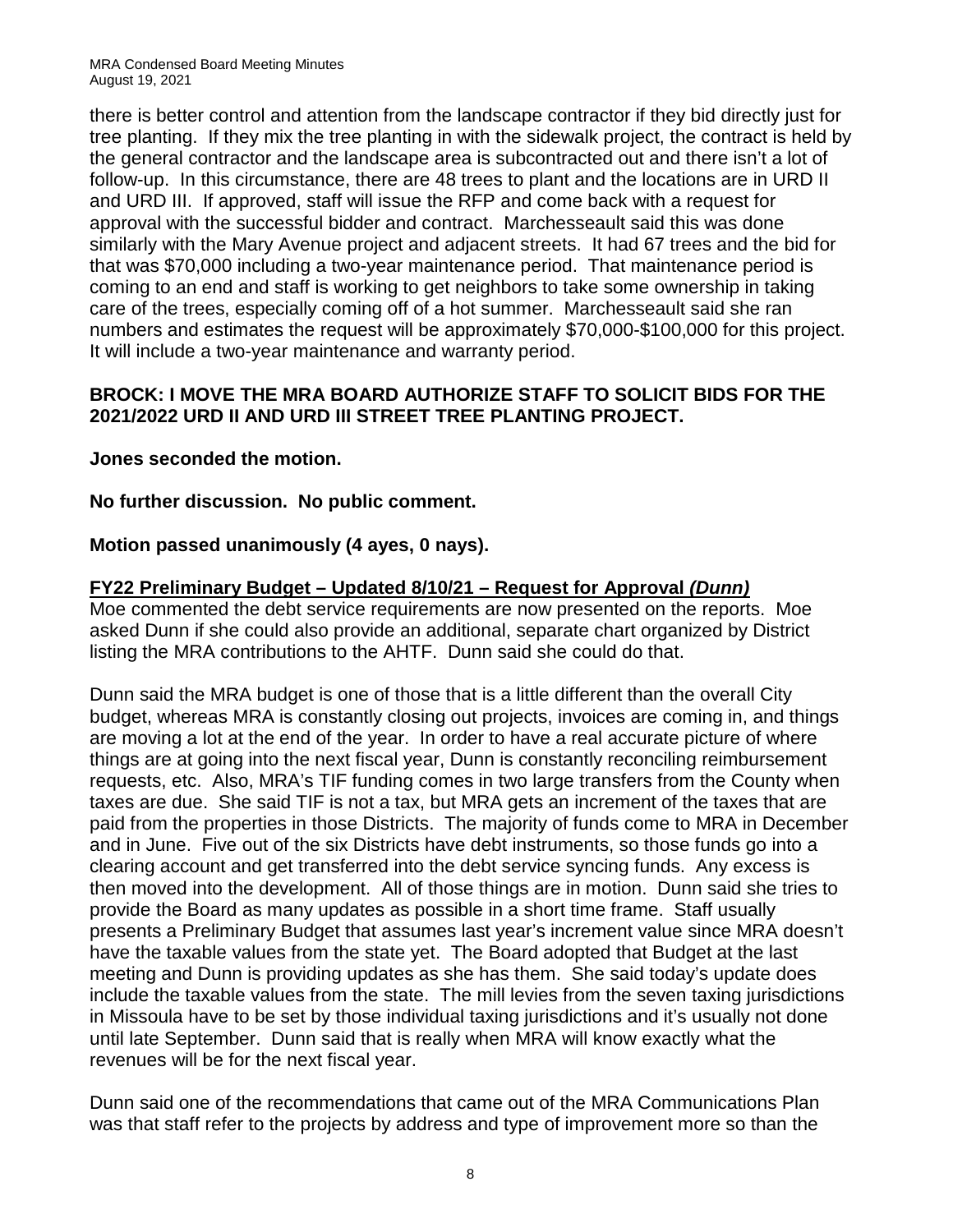there is better control and attention from the landscape contractor if they bid directly just for tree planting. If they mix the tree planting in with the sidewalk project, the contract is held by the general contractor and the landscape area is subcontracted out and there isn't a lot of follow-up. In this circumstance, there are 48 trees to plant and the locations are in URD II and URD III. If approved, staff will issue the RFP and come back with a request for approval with the successful bidder and contract. Marchesseault said this was done similarly with the Mary Avenue project and adjacent streets. It had 67 trees and the bid for that was \$70,000 including a two-year maintenance period. That maintenance period is coming to an end and staff is working to get neighbors to take some ownership in taking care of the trees, especially coming off of a hot summer. Marchesseault said she ran numbers and estimates the request will be approximately \$70,000-\$100,000 for this project. It will include a two-year maintenance and warranty period.

#### **BROCK: I MOVE THE MRA BOARD AUTHORIZE STAFF TO SOLICIT BIDS FOR THE 2021/2022 URD II AND URD III STREET TREE PLANTING PROJECT.**

**Jones seconded the motion.**

## **No further discussion. No public comment.**

## **Motion passed unanimously (4 ayes, 0 nays).**

## **FY22 Preliminary Budget – Updated 8/10/21 – Request for Approval** *(Dunn)*

Moe commented the debt service requirements are now presented on the reports. Moe asked Dunn if she could also provide an additional, separate chart organized by District listing the MRA contributions to the AHTF. Dunn said she could do that.

Dunn said the MRA budget is one of those that is a little different than the overall City budget, whereas MRA is constantly closing out projects, invoices are coming in, and things are moving a lot at the end of the year. In order to have a real accurate picture of where things are at going into the next fiscal year, Dunn is constantly reconciling reimbursement requests, etc. Also, MRA's TIF funding comes in two large transfers from the County when taxes are due. She said TIF is not a tax, but MRA gets an increment of the taxes that are paid from the properties in those Districts. The majority of funds come to MRA in December and in June. Five out of the six Districts have debt instruments, so those funds go into a clearing account and get transferred into the debt service syncing funds. Any excess is then moved into the development. All of those things are in motion. Dunn said she tries to provide the Board as many updates as possible in a short time frame. Staff usually presents a Preliminary Budget that assumes last year's increment value since MRA doesn't have the taxable values from the state yet. The Board adopted that Budget at the last meeting and Dunn is providing updates as she has them. She said today's update does include the taxable values from the state. The mill levies from the seven taxing jurisdictions in Missoula have to be set by those individual taxing jurisdictions and it's usually not done until late September. Dunn said that is really when MRA will know exactly what the revenues will be for the next fiscal year.

Dunn said one of the recommendations that came out of the MRA Communications Plan was that staff refer to the projects by address and type of improvement more so than the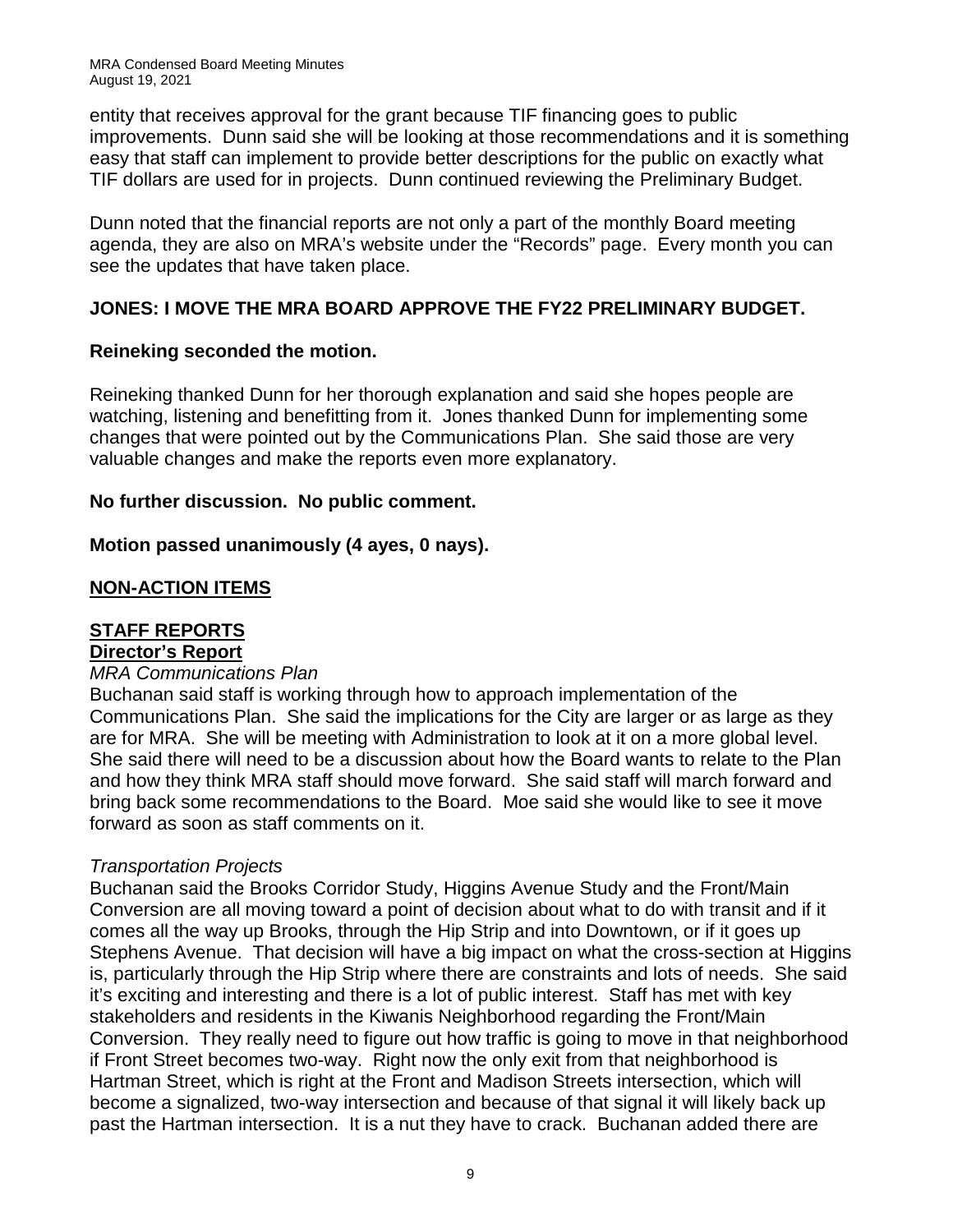MRA Condensed Board Meeting Minutes August 19, 2021

entity that receives approval for the grant because TIF financing goes to public improvements. Dunn said she will be looking at those recommendations and it is something easy that staff can implement to provide better descriptions for the public on exactly what TIF dollars are used for in projects. Dunn continued reviewing the Preliminary Budget.

Dunn noted that the financial reports are not only a part of the monthly Board meeting agenda, they are also on MRA's website under the "Records" page. Every month you can see the updates that have taken place.

## **JONES: I MOVE THE MRA BOARD APPROVE THE FY22 PRELIMINARY BUDGET.**

#### **Reineking seconded the motion.**

Reineking thanked Dunn for her thorough explanation and said she hopes people are watching, listening and benefitting from it. Jones thanked Dunn for implementing some changes that were pointed out by the Communications Plan. She said those are very valuable changes and make the reports even more explanatory.

## **No further discussion. No public comment.**

## **Motion passed unanimously (4 ayes, 0 nays).**

## **NON-ACTION ITEMS**

# **STAFF REPORTS**

#### **Director's Report**

#### *MRA Communications Plan*

Buchanan said staff is working through how to approach implementation of the Communications Plan. She said the implications for the City are larger or as large as they are for MRA. She will be meeting with Administration to look at it on a more global level. She said there will need to be a discussion about how the Board wants to relate to the Plan and how they think MRA staff should move forward. She said staff will march forward and bring back some recommendations to the Board. Moe said she would like to see it move forward as soon as staff comments on it.

## *Transportation Projects*

Buchanan said the Brooks Corridor Study, Higgins Avenue Study and the Front/Main Conversion are all moving toward a point of decision about what to do with transit and if it comes all the way up Brooks, through the Hip Strip and into Downtown, or if it goes up Stephens Avenue. That decision will have a big impact on what the cross-section at Higgins is, particularly through the Hip Strip where there are constraints and lots of needs. She said it's exciting and interesting and there is a lot of public interest. Staff has met with key stakeholders and residents in the Kiwanis Neighborhood regarding the Front/Main Conversion. They really need to figure out how traffic is going to move in that neighborhood if Front Street becomes two-way. Right now the only exit from that neighborhood is Hartman Street, which is right at the Front and Madison Streets intersection, which will become a signalized, two-way intersection and because of that signal it will likely back up past the Hartman intersection. It is a nut they have to crack. Buchanan added there are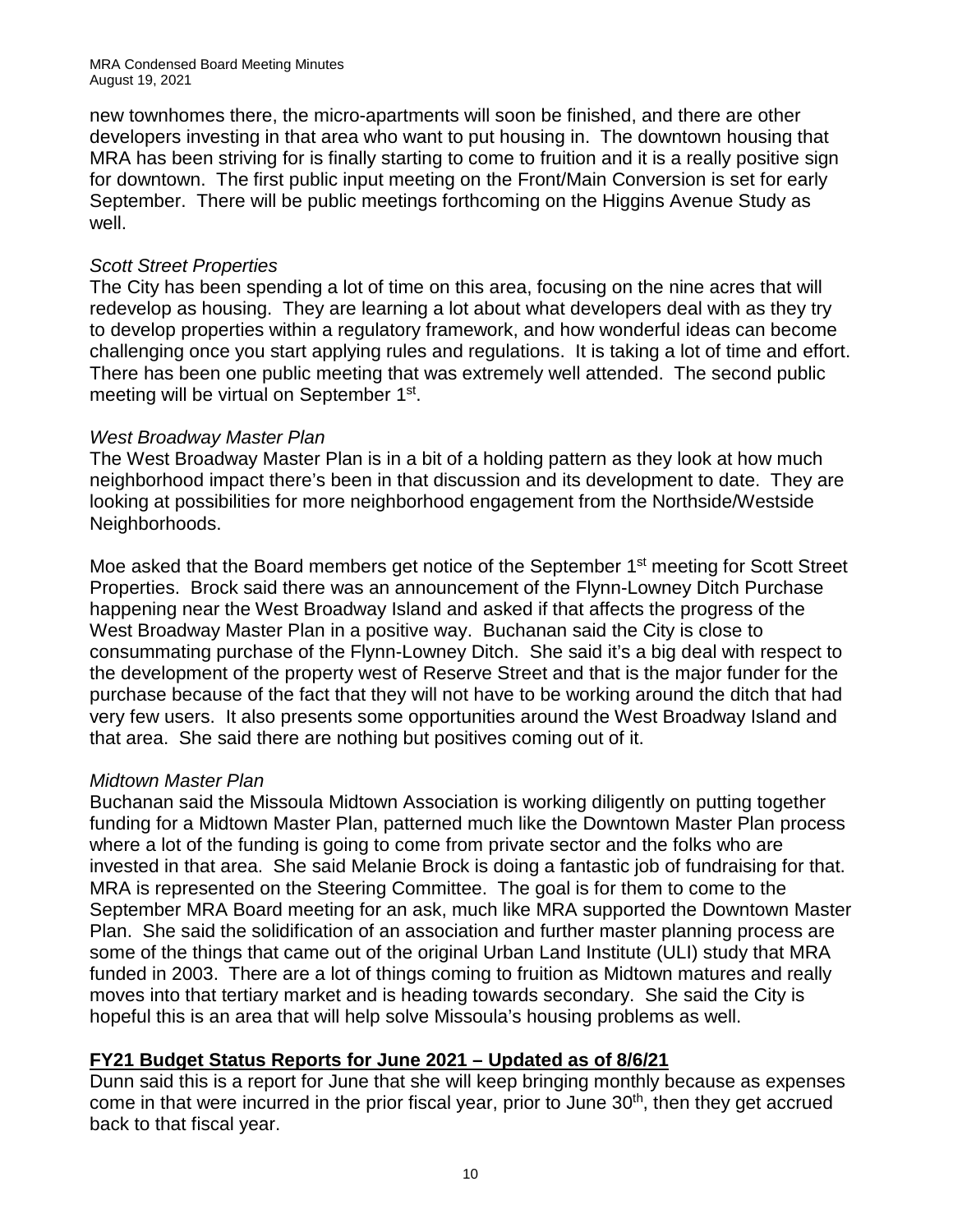new townhomes there, the micro-apartments will soon be finished, and there are other developers investing in that area who want to put housing in. The downtown housing that MRA has been striving for is finally starting to come to fruition and it is a really positive sign for downtown. The first public input meeting on the Front/Main Conversion is set for early September. There will be public meetings forthcoming on the Higgins Avenue Study as well.

#### *Scott Street Properties*

The City has been spending a lot of time on this area, focusing on the nine acres that will redevelop as housing. They are learning a lot about what developers deal with as they try to develop properties within a regulatory framework, and how wonderful ideas can become challenging once you start applying rules and regulations. It is taking a lot of time and effort. There has been one public meeting that was extremely well attended. The second public meeting will be virtual on September 1st.

## *West Broadway Master Plan*

The West Broadway Master Plan is in a bit of a holding pattern as they look at how much neighborhood impact there's been in that discussion and its development to date. They are looking at possibilities for more neighborhood engagement from the Northside/Westside Neighborhoods.

Moe asked that the Board members get notice of the September 1<sup>st</sup> meeting for Scott Street Properties. Brock said there was an announcement of the Flynn-Lowney Ditch Purchase happening near the West Broadway Island and asked if that affects the progress of the West Broadway Master Plan in a positive way. Buchanan said the City is close to consummating purchase of the Flynn-Lowney Ditch. She said it's a big deal with respect to the development of the property west of Reserve Street and that is the major funder for the purchase because of the fact that they will not have to be working around the ditch that had very few users. It also presents some opportunities around the West Broadway Island and that area. She said there are nothing but positives coming out of it.

## *Midtown Master Plan*

Buchanan said the Missoula Midtown Association is working diligently on putting together funding for a Midtown Master Plan, patterned much like the Downtown Master Plan process where a lot of the funding is going to come from private sector and the folks who are invested in that area. She said Melanie Brock is doing a fantastic job of fundraising for that. MRA is represented on the Steering Committee. The goal is for them to come to the September MRA Board meeting for an ask, much like MRA supported the Downtown Master Plan. She said the solidification of an association and further master planning process are some of the things that came out of the original Urban Land Institute (ULI) study that MRA funded in 2003. There are a lot of things coming to fruition as Midtown matures and really moves into that tertiary market and is heading towards secondary. She said the City is hopeful this is an area that will help solve Missoula's housing problems as well.

## **FY21 Budget Status Reports for June 2021 – Updated as of 8/6/21**

Dunn said this is a report for June that she will keep bringing monthly because as expenses come in that were incurred in the prior fiscal year, prior to June 30<sup>th</sup>, then they get accrued back to that fiscal year.